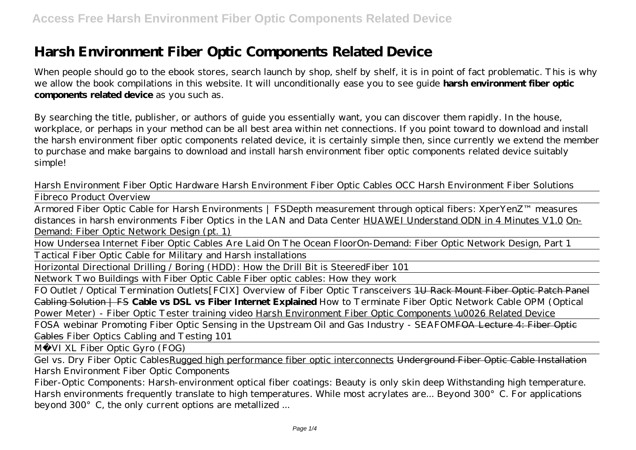# **Harsh Environment Fiber Optic Components Related Device**

When people should go to the ebook stores, search launch by shop, shelf by shelf, it is in point of fact problematic. This is why we allow the book compilations in this website. It will unconditionally ease you to see guide **harsh environment fiber optic components related device** as you such as.

By searching the title, publisher, or authors of guide you essentially want, you can discover them rapidly. In the house, workplace, or perhaps in your method can be all best area within net connections. If you point toward to download and install the harsh environment fiber optic components related device, it is certainly simple then, since currently we extend the member to purchase and make bargains to download and install harsh environment fiber optic components related device suitably simple!

*Harsh Environment Fiber Optic Hardware Harsh Environment Fiber Optic Cables OCC Harsh Environment Fiber Solutions* Fibreco Product Overview

Armored Fiber Optic Cable for Harsh Environments | FS*Depth measurement through optical fibers: XperYenZ™ measures distances in harsh environments Fiber Optics in the LAN and Data Center* HUAWEI Understand ODN in 4 Minutes V1.0 On-Demand: Fiber Optic Network Design (pt. 1)

How Undersea Internet Fiber Optic Cables Are Laid On The Ocean Floor*On-Demand: Fiber Optic Network Design, Part 1* Tactical Fiber Optic Cable for Military and Harsh installations

Horizontal Directional Drilling / Boring (HDD): How the Drill Bit is Steered*Fiber 101*

Network Two Buildings with Fiber Optic Cable Fiber optic cables: How they work

FO Outlet / Optical Termination Outlets*[FCIX] Overview of Fiber Optic Transceivers* 1U Rack Mount Fiber Optic Patch Panel Cabling Solution | FS **Cable vs DSL vs Fiber Internet Explained** *How to Terminate Fiber Optic Network Cable OPM (Optical Power Meter) - Fiber Optic Tester training video* Harsh Environment Fiber Optic Components \u0026 Related Device

FOSA webinar Promoting Fiber Optic Sensing in the Upstream Oil and Gas Industry - SEAFOM<del>FOA Lecture 4: Fiber Optic</del> Cables *Fiber Optics Cabling and Testing 101*

M VI XL Fiber Optic Gyro (FOG)

Gel vs. Dry Fiber Optic Cables Rugged high performance fiber optic interconnects Underground Fiber Optic Cable Installation *Harsh Environment Fiber Optic Components*

Fiber-Optic Components: Harsh-environment optical fiber coatings: Beauty is only skin deep Withstanding high temperature. Harsh environments frequently translate to high temperatures. While most acrylates are... Beyond 300°C. For applications beyond 300°C, the only current options are metallized ...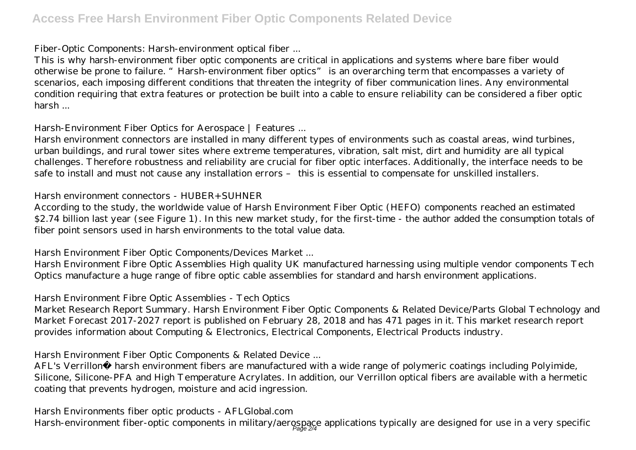#### *Fiber-Optic Components: Harsh-environment optical fiber ...*

This is why harsh-environment fiber optic components are critical in applications and systems where bare fiber would otherwise be prone to failure. "Harsh-environment fiber optics" is an overarching term that encompasses a variety of scenarios, each imposing different conditions that threaten the integrity of fiber communication lines. Any environmental condition requiring that extra features or protection be built into a cable to ensure reliability can be considered a fiber optic harsh ...

## *Harsh-Environment Fiber Optics for Aerospace | Features ...*

Harsh environment connectors are installed in many different types of environments such as coastal areas, wind turbines, urban buildings, and rural tower sites where extreme temperatures, vibration, salt mist, dirt and humidity are all typical challenges. Therefore robustness and reliability are crucial for fiber optic interfaces. Additionally, the interface needs to be safe to install and must not cause any installation errors – this is essential to compensate for unskilled installers.

## *Harsh environment connectors - HUBER+SUHNER*

According to the study, the worldwide value of Harsh Environment Fiber Optic (HEFO) components reached an estimated \$2.74 billion last year (see Figure 1). In this new market study, for the first-time - the author added the consumption totals of fiber point sensors used in harsh environments to the total value data.

## *Harsh Environment Fiber Optic Components/Devices Market ...*

Harsh Environment Fibre Optic Assemblies High quality UK manufactured harnessing using multiple vendor components Tech Optics manufacture a huge range of fibre optic cable assemblies for standard and harsh environment applications.

## *Harsh Environment Fibre Optic Assemblies - Tech Optics*

Market Research Report Summary. Harsh Environment Fiber Optic Components & Related Device/Parts Global Technology and Market Forecast 2017-2027 report is published on February 28, 2018 and has 471 pages in it. This market research report provides information about Computing & Electronics, Electrical Components, Electrical Products industry.

# *Harsh Environment Fiber Optic Components & Related Device ...*

AFL's Verrillon® harsh environment fibers are manufactured with a wide range of polymeric coatings including Polyimide, Silicone, Silicone-PFA and High Temperature Acrylates. In addition, our Verrillon optical fibers are available with a hermetic coating that prevents hydrogen, moisture and acid ingression.

# *Harsh Environments fiber optic products - AFLGlobal.com*

Harsh-environment fiber-optic components in military/aerospace applications typically are designed for use in a very specific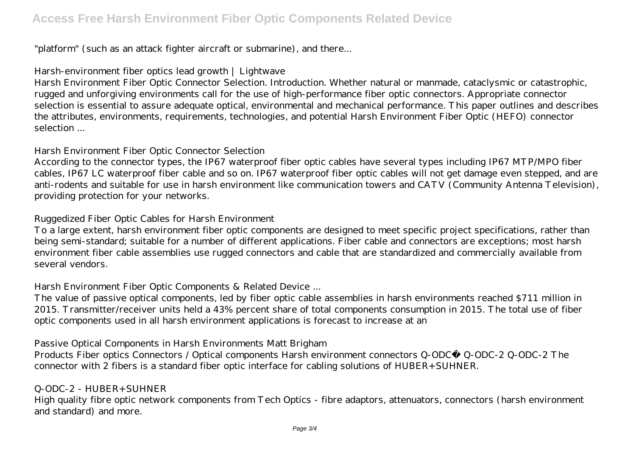"platform" (such as an attack fighter aircraft or submarine), and there...

# *Harsh-environment fiber optics lead growth | Lightwave*

Harsh Environment Fiber Optic Connector Selection. Introduction. Whether natural or manmade, cataclysmic or catastrophic, rugged and unforgiving environments call for the use of high-performance fiber optic connectors. Appropriate connector selection is essential to assure adequate optical, environmental and mechanical performance. This paper outlines and describes the attributes, environments, requirements, technologies, and potential Harsh Environment Fiber Optic (HEFO) connector selection ...

## *Harsh Environment Fiber Optic Connector Selection*

According to the connector types, the IP67 waterproof fiber optic cables have several types including IP67 MTP/MPO fiber cables, IP67 LC waterproof fiber cable and so on. IP67 waterproof fiber optic cables will not get damage even stepped, and are anti-rodents and suitable for use in harsh environment like communication towers and CATV (Community Antenna Television), providing protection for your networks.

## *Ruggedized Fiber Optic Cables for Harsh Environment*

To a large extent, harsh environment fiber optic components are designed to meet specific project specifications, rather than being semi-standard; suitable for a number of different applications. Fiber cable and connectors are exceptions; most harsh environment fiber cable assemblies use rugged connectors and cable that are standardized and commercially available from several vendors.

# *Harsh Environment Fiber Optic Components & Related Device ...*

The value of passive optical components, led by fiber optic cable assemblies in harsh environments reached \$711 million in 2015. Transmitter/receiver units held a 43% percent share of total components consumption in 2015. The total use of fiber optic components used in all harsh environment applications is forecast to increase at an

# *Passive Optical Components in Harsh Environments Matt Brigham*

Products Fiber optics Connectors / Optical components Harsh environment connectors Q-ODC® Q-ODC-2 Q-ODC-2 The connector with 2 fibers is a standard fiber optic interface for cabling solutions of HUBER+SUHNER.

# *Q-ODC-2 - HUBER+SUHNER*

High quality fibre optic network components from Tech Optics - fibre adaptors, attenuators, connectors (harsh environment and standard) and more.